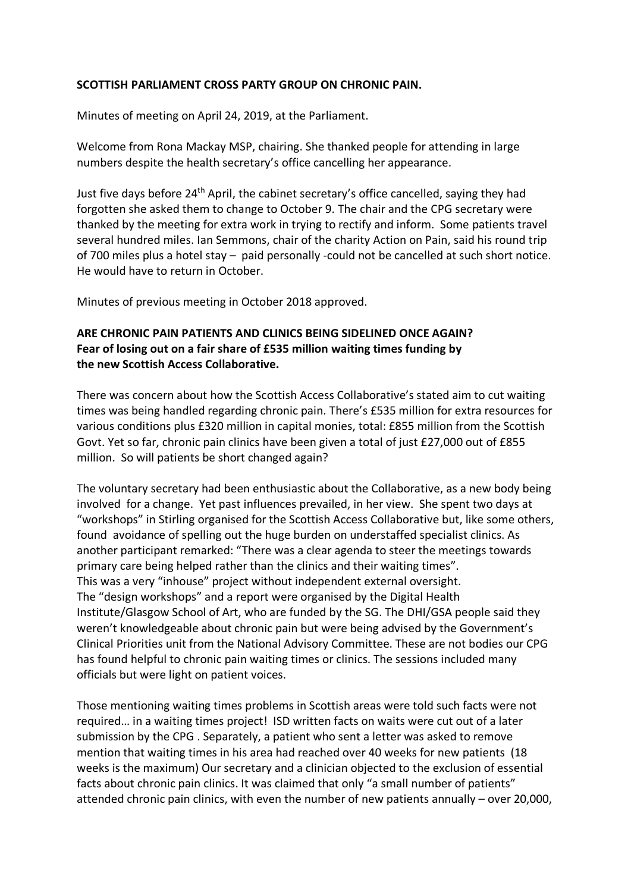### **SCOTTISH PARLIAMENT CROSS PARTY GROUP ON CHRONIC PAIN.**

Minutes of meeting on April 24, 2019, at the Parliament.

Welcome from Rona Mackay MSP, chairing. She thanked people for attending in large numbers despite the health secretary's office cancelling her appearance.

Just five days before 24th April, the cabinet secretary's office cancelled, saying they had forgotten she asked them to change to October 9. The chair and the CPG secretary were thanked by the meeting for extra work in trying to rectify and inform. Some patients travel several hundred miles. Ian Semmons, chair of the charity Action on Pain, said his round trip of 700 miles plus a hotel stay – paid personally -could not be cancelled at such short notice. He would have to return in October.

Minutes of previous meeting in October 2018 approved.

# **ARE CHRONIC PAIN PATIENTS AND CLINICS BEING SIDELINED ONCE AGAIN? Fear of losing out on a fair share of £535 million waiting times funding by the new Scottish Access Collaborative.**

There was concern about how the Scottish Access Collaborative's stated aim to cut waiting times was being handled regarding chronic pain. There's £535 million for extra resources for various conditions plus £320 million in capital monies, total: £855 million from the Scottish Govt. Yet so far, chronic pain clinics have been given a total of just £27,000 out of £855 million. So will patients be short changed again?

The voluntary secretary had been enthusiastic about the Collaborative, as a new body being involved for a change. Yet past influences prevailed, in her view. She spent two days at "workshops" in Stirling organised for the Scottish Access Collaborative but, like some others, found avoidance of spelling out the huge burden on understaffed specialist clinics. As another participant remarked: "There was a clear agenda to steer the meetings towards primary care being helped rather than the clinics and their waiting times". This was a very "inhouse" project without independent external oversight. The "design workshops" and a report were organised by the Digital Health Institute/Glasgow School of Art, who are funded by the SG. The DHI/GSA people said they weren't knowledgeable about chronic pain but were being advised by the Government's Clinical Priorities unit from the National Advisory Committee. These are not bodies our CPG has found helpful to chronic pain waiting times or clinics. The sessions included many officials but were light on patient voices.

Those mentioning waiting times problems in Scottish areas were told such facts were not required… in a waiting times project! ISD written facts on waits were cut out of a later submission by the CPG . Separately, a patient who sent a letter was asked to remove mention that waiting times in his area had reached over 40 weeks for new patients (18 weeks is the maximum) Our secretary and a clinician objected to the exclusion of essential facts about chronic pain clinics. It was claimed that only "a small number of patients" attended chronic pain clinics, with even the number of new patients annually – over 20,000,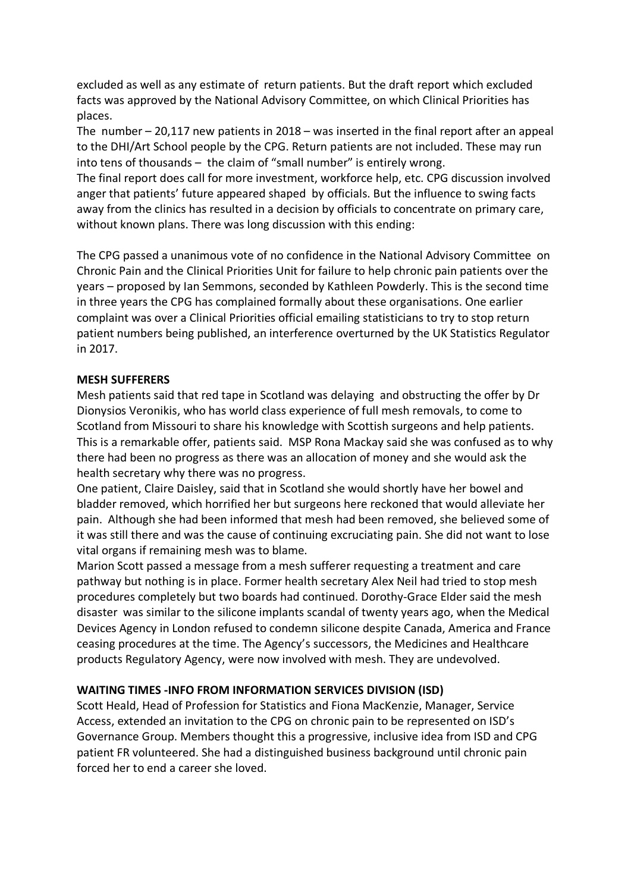excluded as well as any estimate of return patients. But the draft report which excluded facts was approved by the National Advisory Committee, on which Clinical Priorities has places.

The number – 20,117 new patients in 2018 – was inserted in the final report after an appeal to the DHI/Art School people by the CPG. Return patients are not included. These may run into tens of thousands – the claim of "small number" is entirely wrong.

The final report does call for more investment, workforce help, etc. CPG discussion involved anger that patients' future appeared shaped by officials. But the influence to swing facts away from the clinics has resulted in a decision by officials to concentrate on primary care, without known plans. There was long discussion with this ending:

The CPG passed a unanimous vote of no confidence in the National Advisory Committee on Chronic Pain and the Clinical Priorities Unit for failure to help chronic pain patients over the years – proposed by Ian Semmons, seconded by Kathleen Powderly. This is the second time in three years the CPG has complained formally about these organisations. One earlier complaint was over a Clinical Priorities official emailing statisticians to try to stop return patient numbers being published, an interference overturned by the UK Statistics Regulator in 2017.

### **MESH SUFFERERS**

Mesh patients said that red tape in Scotland was delaying and obstructing the offer by Dr Dionysios Veronikis, who has world class experience of full mesh removals, to come to Scotland from Missouri to share his knowledge with Scottish surgeons and help patients. This is a remarkable offer, patients said. MSP Rona Mackay said she was confused as to why there had been no progress as there was an allocation of money and she would ask the health secretary why there was no progress.

One patient, Claire Daisley, said that in Scotland she would shortly have her bowel and bladder removed, which horrified her but surgeons here reckoned that would alleviate her pain. Although she had been informed that mesh had been removed, she believed some of it was still there and was the cause of continuing excruciating pain. She did not want to lose vital organs if remaining mesh was to blame.

Marion Scott passed a message from a mesh sufferer requesting a treatment and care pathway but nothing is in place. Former health secretary Alex Neil had tried to stop mesh procedures completely but two boards had continued. Dorothy-Grace Elder said the mesh disaster was similar to the silicone implants scandal of twenty years ago, when the Medical Devices Agency in London refused to condemn silicone despite Canada, America and France ceasing procedures at the time. The Agency's successors, the Medicines and Healthcare products Regulatory Agency, were now involved with mesh. They are undevolved.

#### **WAITING TIMES -INFO FROM INFORMATION SERVICES DIVISION (ISD)**

Scott Heald, Head of Profession for Statistics and Fiona MacKenzie, Manager, Service Access, extended an invitation to the CPG on chronic pain to be represented on ISD's Governance Group. Members thought this a progressive, inclusive idea from ISD and CPG patient FR volunteered. She had a distinguished business background until chronic pain forced her to end a career she loved.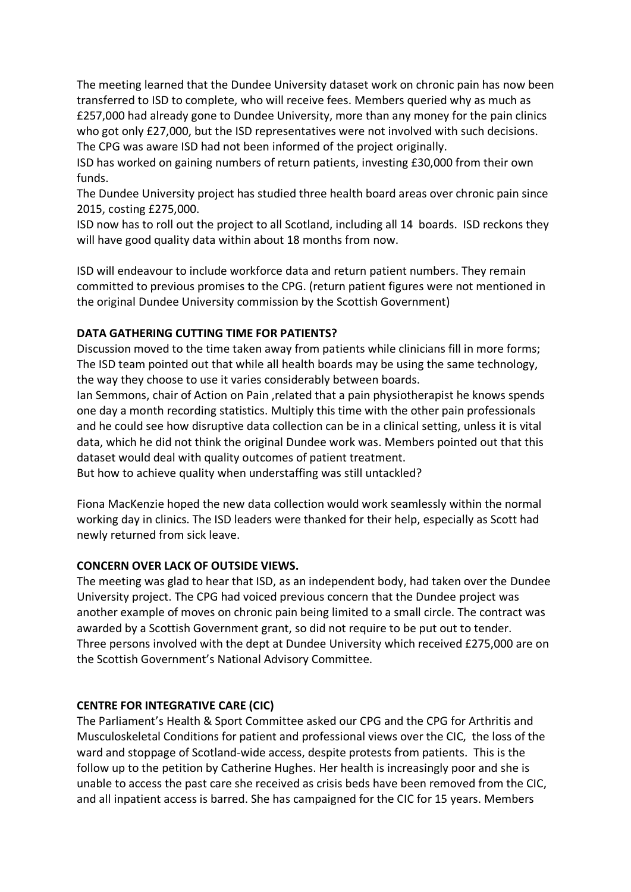The meeting learned that the Dundee University dataset work on chronic pain has now been transferred to ISD to complete, who will receive fees. Members queried why as much as £257,000 had already gone to Dundee University, more than any money for the pain clinics who got only £27,000, but the ISD representatives were not involved with such decisions. The CPG was aware ISD had not been informed of the project originally.

ISD has worked on gaining numbers of return patients, investing £30,000 from their own funds.

The Dundee University project has studied three health board areas over chronic pain since 2015, costing £275,000.

ISD now has to roll out the project to all Scotland, including all 14 boards. ISD reckons they will have good quality data within about 18 months from now.

ISD will endeavour to include workforce data and return patient numbers. They remain committed to previous promises to the CPG. (return patient figures were not mentioned in the original Dundee University commission by the Scottish Government)

## **DATA GATHERING CUTTING TIME FOR PATIENTS?**

Discussion moved to the time taken away from patients while clinicians fill in more forms; The ISD team pointed out that while all health boards may be using the same technology, the way they choose to use it varies considerably between boards.

Ian Semmons, chair of Action on Pain ,related that a pain physiotherapist he knows spends one day a month recording statistics. Multiply this time with the other pain professionals and he could see how disruptive data collection can be in a clinical setting, unless it is vital data, which he did not think the original Dundee work was. Members pointed out that this dataset would deal with quality outcomes of patient treatment.

But how to achieve quality when understaffing was still untackled?

Fiona MacKenzie hoped the new data collection would work seamlessly within the normal working day in clinics. The ISD leaders were thanked for their help, especially as Scott had newly returned from sick leave.

### **CONCERN OVER LACK OF OUTSIDE VIEWS.**

The meeting was glad to hear that ISD, as an independent body, had taken over the Dundee University project. The CPG had voiced previous concern that the Dundee project was another example of moves on chronic pain being limited to a small circle. The contract was awarded by a Scottish Government grant, so did not require to be put out to tender. Three persons involved with the dept at Dundee University which received £275,000 are on the Scottish Government's National Advisory Committee.

## **CENTRE FOR INTEGRATIVE CARE (CIC)**

The Parliament's Health & Sport Committee asked our CPG and the CPG for Arthritis and Musculoskeletal Conditions for patient and professional views over the CIC, the loss of the ward and stoppage of Scotland-wide access, despite protests from patients. This is the follow up to the petition by Catherine Hughes. Her health is increasingly poor and she is unable to access the past care she received as crisis beds have been removed from the CIC, and all inpatient access is barred. She has campaigned for the CIC for 15 years. Members